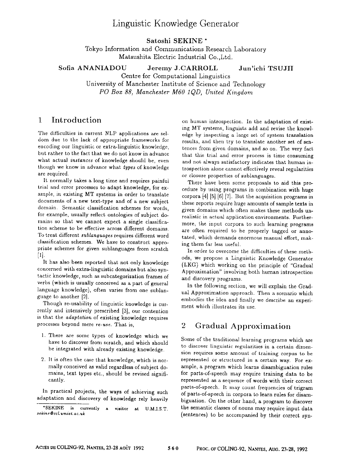# Linguistic Knowledge Generator

Satoshi SEKINE **\*** 

Tokyo Information and Communications Research Laboratory Matsushita Electric Industrial Co.,Ltd.

Sofia ANANIADOU Jeremy J.CARROLL Jun'ichi TSUJII

Centre for Computational Linguistics University of Manchester Institute of Science and Technology *PO Box 88, Manchester M60 1QD, United Kingdom* 

### **<sup>1</sup>**Introduction

The difficulties in current NLP applications are seldom due to the lack of appropriate frameworks for encoding our linguistic or extra-linguistic knowledge, hut rather to the fact that we do not know in advance what actual *instances* of knowledge should be, even though we know in advance what *types* of knowledge are required.

It normally takes a long time and requires painful trial and error processes to adapt knowledge, for example, in existing MT systems in order to translate documents of a new text-type and of a new subject domain. Semantic classification schemes for words, for example, usually reflect ontologies of subject domains so that we cannot expect a single classification scheme to be effective across different domains. To treat different *suhlanguages* requires different word classification schemes. We have to construct appropriate schemes for given sublanguages from scratch [1].

It has also been reported that not only knowledge concerned with extra-linguistic domains but also syntactic knowledge, such as subcategorization frames of verbs (which is usually conceived as a part of general language knowledge), often varies from one sublanguage to another [2].

Though re-usability of linguistic knowledge is currently and intensively prescribed [3], our contention is that the *adaptation* of existing knowledge requires processes beyond mere *re-use.* That is,

- 1. There are some types of knowledge which we have to discover from scratch, and which should be integrated with already existing knowledge.
- 2. It is often the case that knowledge, which is normally conceived as valid regardless of subject domains, text types etc., should be revised significantly.

In practical projects, the ways of achieving such adaptation and discovery of knowledge rely heavily on human introspection. In the adaptation of existing MT systems, linguists add and revise the knowledge by inspecting a large set of system translation results, and then try to translate another set of sentences from given domains, and so on. The very fact that this trial and error process is time consuming and not always satisfactory indicates that human introspection alone cannot effectively reveal regularities or closure properties of sublanguages.

There have been some proposals to aid this procedure by using programs in combination with huge corpora  $\begin{bmatrix} 4 \end{bmatrix}$   $\begin{bmatrix} 5 \end{bmatrix}$   $\begin{bmatrix} 6 \end{bmatrix}$   $\begin{bmatrix} 7 \end{bmatrix}$ . But the acquisition programs in these reports require huge amounts of sample texts in given domains which often makes these methods unrealistic in actual application environments. Furthermore, the input corpora to such learning programs are often required to be properly tagged or annotated, which demands enormous manual effort, making them far less useful.

In order to overcome the difficulties of these methods, we propose a Linguistic Knowledge *Generator*  (LKG) which working on the principle of "Gradual Approximation" involving both human introspection and discovery programs.

In the following section, we will explain the Gradual Approximation approach. Then a scenario which embodies the idea and finally we describe an experiment which illustrates its use.

### 2 Gradual Approximation

Some of the traditional learning programs which are to discover linguistic regularities in a certain dimension requires some amount of training corpus to be represented or structured in a certain way. For example, a program which learns disambiguation rules for parts-of-speech may require training data to be represented as a sequence of words with their correct parts-of-speech. It may count frequencies of trigram of parts-of-speech in corpora to learn rules for disambiguation. On the other hand, a program to discover the semantic classes of nouns may require input data (sentences) to be accompanied by their correct syn-

<sup>\*</sup>SEKINE is currently a visitor at U.M.I.S T. *\*eki~eOccl.umist. ac.uk*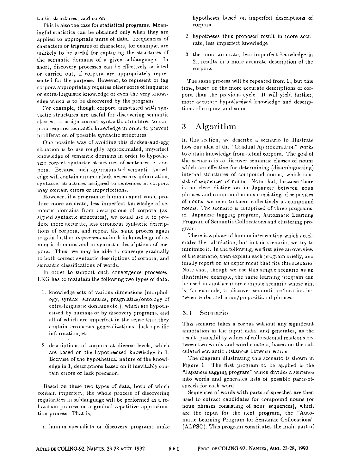tactic structures, and so on.

This is also the case for statistical programs. Meaningful statistics can be obtained only when they are applied to appropriate units of data. Frequencies of characters or trigrams of characters, for example, are unlikely to be useful for capturing the structures of the semantic domains of a given sublanguage. In short, discovery processes can be effectively assisted or carried out, if corpora are appropriately represented for the purpose. However, to represent or tag corpora appropriately requires other sorts of linguistic or extra-linguistic knowledge or even the very knowledge which is to be discovered by the program.

For example, though corpora annotated with syntactic structures are useful for discovering semantic classes, to assign correct syntactic structures to corpora requires semantic knowledge in order to prevent proliferation of possible syntactic structures.

One possible way of avoiding this chicken-and-egg situation is to use roughly approximated, imperfect knowledge of semantic domains in order to hypothesize correct syntactic structures of sentences in corpora. Because such approximated semantic knowledge will contain errors or lack necessary information, syntactic structures assigned to sentences in corpora may contain errors or imperfections.

However, if a program or human expert could produce more accurate, less imperfect knowledge of semantic domains from descriptions of corpora (assigned syntactic structures), we could use it to produce more accurate, less erroneous syntactic descriptions of corpora, and repeat the same process again to gain further *improvement* both in knowledge of semantic domains and in syntactic descriptions of corpora. Thus, we may be able to converge gradually to both correct syntactic descriptions of corpora, and semantic classifications of words.

In order to support such convergence processes, I,KG has to maintain the following two types of data.

- 1. knowledge sets of various dimensions (morphology, syntax, semantics, pragmatics/ontology of extra-linguistic domains etc.), which are hypothesized by humans or by discovery programs, and all of which are imperfect in the sense that they contain erroneous generalizations, lack specific information, etc.
- 2. descriptions of corpora at diverse levels, which are based on the hypothesised knowledge in 1. Because of the hypothetical nature of the knowledge in 1, descriptions based on it inevitably contain errors or lack precision.

Based on these two types of data, both of which contain imperfect, the whole process of discovering regularities in sublanguage will be performed as a relaxation process or a gradual repetitive approximation process. That is,

1. hunmn specialists or discovery programs make

hypotheses based on imperfect descriptions of corpora

- 2. hypotheses thus proposed result in more accurate, less imperfect knowledge
- 3. tbe more accurate, less imperfect knowledge in 2., results in a more accurate description of the corpora

The same process will be repeated from 1., but this time, based on the more accurate descriptions of corpora than the previous cycle. It will yield further, more accurate hypothesized knowledge and descriptions of corpora and so on.

# 3 Algorithm

In this section, we describe a scenario to illustrate how our idea of the "Gradual Approximation" works to obtain knowledge front actual corpora. The goal of the scenario is to discover semantic classes of nouns which are effective for determining (disambiguating) internal structures of compound nouns, which consist of sequences of nouns. Note that, because there is no clear distinction in Japanese between noun phrases and compound nouns consisting of sequences of nouns, we refer to them collectively as compound nouns. The scenario is comprised of three programs, ie. Japanese tagging program, Automatic Learning Program of Semantic Collocations and clustering program.

There is a phase of human intervention which accelerates the calculation, but in this scenario, we try to minimize it. In the following, we first give an overview of the scenario, then explain each program briefly, and finally report on an experiment that fits this scenario. Note that, though we use this simple scenario as an illustrative example, the same learning program can be used in another inore complex scenario whose aim is, for example, to discover semantic collocation between verbs and noun/prepositional phrases.

### 3.1 Scenario

This scenario takes a corpus without any significant annotation as the input data, and generates, as the result, plausibility values of collocational relations between two words and word clusters, based on the calculated semantic distances between words.

The diagram illustrating this scenario is shown in Figure 1. The first program to be applied is the "Japanese tagging program" which divides a sentence into words and generates lists of possible parts-ofspeech for each word.

Sequences of words with parts-of-speeches are then used to extract candidates for compound nouns (or noun phrases consisting of noun sequences), which are the input for the next program, the "Automatic Learning Program for Semantic Collocations" (ALPSC). This program constitutes the main part of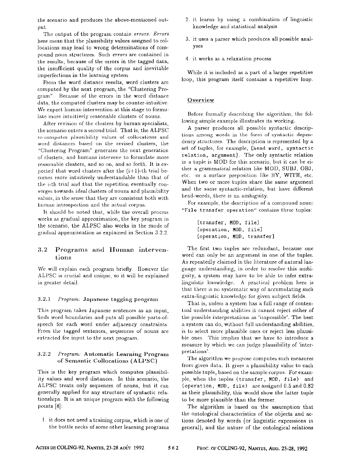the scenario and produces the above-mentioned output

Tbe output of the program contain *errors. Errors*  here mean that the plausibility values assigned to collocations may lead to wrong determinations of compound noun structures. Such *errors* are contained in the results, because of the errors in the tagged data, the insufficient quality of the corpus and inevitable imperfections in the learning system.

From the word distance results, word clusters are computed by the next program, the "Clustering Program". Because of the errors in the word distance data, the computed clusters may be counter-intuitive. We expect human intervention at this stage to formulate more intuitively reasonable clusters of nouns.

After revision of the clusters by human specialists, the scenario enters a second trial. That is, the ALPSC re-computes plausibility values of collocations and word distances based on the revised clusters, the "Chlstering Program" generates the next generation of dusters, and humans intervene to formulate more reasonable clusters, and so on, and so forth. It is expected that word clusters after the  $(i+1)$ -th trial becomes more intuitively understandable than that of the i-th trial and that the repetition eventually converges towards *ideal* clusters of nouns and plausibility values, in the sense that they are consistent both with human introspection and the actual corpus.

It should be noted that, while the overall process works as gradual approximation, the key program in the scenario, the ALPSC also works in the mode of gradual approximation as explained in Section 3.2.2.

### 3.2 Programs and Iluman interventions

We will explain each program briefly. However the ALPSC is crucial and tmique, so it will be explained in greater detail.

#### 3,2.1 *Program:* Japanese tagging program

This program takes Japanese sentences as an input, finds word boundaries and puts all possible parts-ofspeech for each word under adjacency constraints. From the tagged sentences, sequences of nouns are extracted for input to the next program.

### 3.2.2 *Program:* Antomatic Learning Program of Semantic Collocations (ALPSC)

This is the key program which computes plausibility values and word distances. In this scenario, the ALPSC treats only sequences of nouns, but it can generally applied for any structure of syntactic relationships. It is an unique program with the following points [8]:

l. it does not need a training corpus, which is one of the bottle necks of some other learning programs

- 2. it learns by using a combination of linguistic knowledge and statistical analysis
- 3. it uses a parser which produces all possible analyses
- 4 it works as a relaxation process

While it is included as a part of a larger repetitive loop, this program itself contains a repetitive loop.

### Overview

Before formally describing the algorithm, the following simple example illustrates its working.

A parser produces all possible syntactic descriptions among words in the form of syntactic dependency structures, The description is represented by a set of tupies, for example, [head uord, syntactic relation, argument]. The only syntactic relation m a tuple is MOD for this scenario, but it can be either a grammatical relation like MOD, SUBJ, OBJ, etc. or a surface preposition like BY, WITH, etc. When two or more tuples share the same argument and the same syntactic-relation, but have different head-words, there is an ambiguity.

For example, the description of a compound noun: "File transfer operation" contains three tuples:

> [transfer, MOO, file] [operation, MOD, file] [operation, **HOD,** transfer]

The first two tuples are redundant, because one word can only be an argument in one of the tuples. As repeatedly claimed in the literature of natural langnage understanding, in order to resolve this ambiguity, a system may have to be able to infer extralinguistic knowledge. A practical problem here is that there is no systematic way of accumulating such extra-linguistic knowledge for given subject fields.

That is, unless a system has a full range of contextual understanding abilities it cannot reject either of the possible interpretations as 'impossible'. The best a system can do, without full understanding abilities, is to select more plausible ones or reject less plausible ones. This implies that we have to introduce a measure by which we can judge plausibility of 'interpretations'.

The algorithm we propose computes such measures from given data. It gives a plausibility value to each possible tuple, based on the sample corpus. For example, when the tuples (transfer, MOD, file) and (operation, MOD, file) are assigned 0.5 and 0.82 as their plausibility, this would show the latter tuple to be more plausible than the former.

The algorithm is based on the assumption that the ontological characteristics of the objects and actions denoted by words (or linguistic expressions in general), and the nature of the ontological relations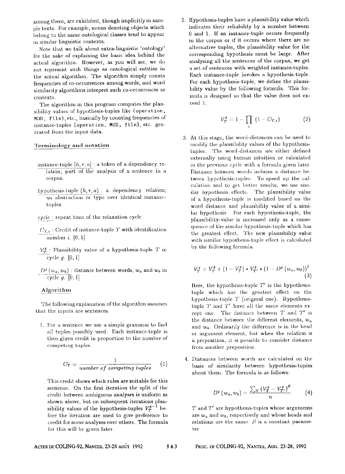among them, are exhibited, though implicitly in sampie texts. For example, uouns denoting objects which belong to the same ontological classes tend to appear in similar linguistic contexts.

Note that we talk about extra-linguistic 'ontology' for the sake of explaining the basic idea bebind the actual algorithm. However, as you will see, we do not represent such things as ontological entities in the actual algorithm. The algorithm sinrply counts frequencies of co-occurrences among words, and word similarity algorithms interpret such co-occurrences as contexts.

The algorithm in this program computes the plausibility values of hypothesis-tuples like (operation, M0D, Iile), etc., basically by counting frequencies of instance-tuples [operation, MOD, file], etc. gencrated from the input data.

#### Terminology and notation

- instance-tuple  $[h, r, a]$  : a token of a dependency relation; part of the analysis of a sentence in a corpus.
- hypothesis-tuple  $(h, r, a)$ : a dependency relation; an abstraction or type over identical instancetuples
- cycle: repeat time of the relaxation cycle.
- $C_{T,t}$ : Credit of instance-tuple T with identification number  $i$ .  $[0, 1]$
- $V_T^g$ : Plausibility value of a hypothesis-tuple T in cycle  $g$ . [0, 1]
- $D^g(w_a, w_b)$ : distance between words,  $w_a$  and  $w_b$  in cycle  $g$ .  $[0, 1]$

#### Algorithm

The following explanation of the algorithm assumes that the inputs are sentences.

1 For a sentence we use a simple grammar to find all tuples possibly used. Each instance-tuple is then given credit in proportion to the number of competing tuples.

$$
C_T = \frac{1}{number\ of\ competing\ tuples} \qquad (1)
$$

This credit sbows which rules are suitable for this sentence. On the first iteration the split of the credit between ambiguous analyses is uniform as shown above, but on subsequent iterations plausibility values of the hypothesis-tuples  $V_T^{g-1}$  before the iteration are used to give preference to credit for some analyses over others. The formula for this will be given later.

2. Hypothesis-tuples have a plausibility value which indicates their reliability by a number between 0 and 1. If an instance-tuple occurs frequently in the corpus or if it occurs where there are no alternative tuples, the plausibility value for the corresponding hypothesis must be large. After analysing all the sentences of the corpus, we get a set of sentences with weighted instanee-tuples. Each instance-tuple invokes a hypothesis-tuple. For each hypothesis-tuple, we define the plausibility value by the following formula. This formula is designed so that the value does not exceed 1.

$$
V_T^g = 1 - \prod_i (1 - C_{T,i}) \tag{2}
$$

At this stage, the word-distances can be used to modify the plausibility values of the hypothesistuples. The word-distances are either defined externally using human mtuitiou or calculated in the previous cycle with a formula given later Distance between words induces a distance between hypothesis-tuples. To speed up the calculation and to get better results, we use similar hypothesis effects. The plausibility value of a hypothesis-tuple is modified based on the word distance and plausibility value of a similar hypothesis. For each bypotbesis-tuple, the plausibility-value is increased only as a consequence of the similar hypothesis-tuple which has the greatest effect. The new plausibility value with similar hypothesis-tuple effect is calculated by the following formula.

$$
V_T^g = V_T^g + (1 - V_T^g) * V_{T'}^g * (1 - D^g(w_a, w_b))^2
$$
\n(3)

Here, the hypothesis-tuple  $T''$  is the hypothesistuple which has the greatest effect on the hypothesis-tuple  $T$  (original one). Hypothesistuple  $T$  and  $T'$  have all the same elements except one. The distance between  $T$  and  $T'$  is the distance between the different elements,  $w_a$ and  $w<sub>b</sub>$ . Ordinarily the difference is in the head or argument element, but when the relation is a preposition, it is possible to consider distance front another preposition.

Distances between words are calculated on the basis of similarity between hypothesis-tuples about them. Tbe formula is as follows:

$$
D^g(w_a, w_b) = \frac{\sum_T (V^g_T - V^g_{T'})^\beta}{n} \qquad (4)
$$

 $T$  and  $T'$  are hypothesis-tuples whose arguments are  $w_a$  and  $w_b$ , respectively and whose heads and relations are the same.  $\beta$  is a constant parameter

#### **ACTES DE COLING-92, NANTES, 23-28 AOÛT 1992** 5 6 3 PROC. OF COLING-92, NANTES, AUG. 23-28, 1992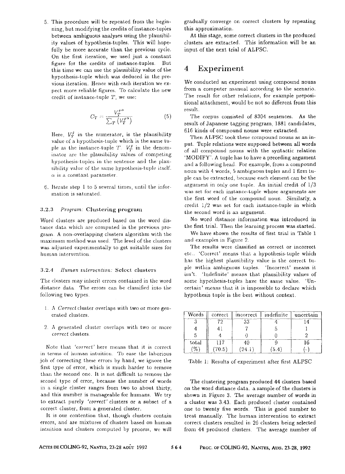5. Tbis procedure will be repeated from the beginning, but modifying the credits of instance-tuples between ambiguous analyses using the plausibility values of hypothesis-tuples. This will hopefully be more accurate than the previous cycle. On the first iteration, we used just a constant figure for the credits of instanee-tuples. But this time we can use the plausibility value of the hypothesis-tuple which was deduced in the previous iteration. Hence with each iteration we expect more reliable figures. To calculate the new credit of instance-tuple T, we use:

$$
C_T = \frac{V_T^{g\alpha}}{\sum_T \left(V_T^{g\alpha}\right)}\tag{5}
$$

Here,  $V_r^j$  in the numerator, is the plausibility value of a hypothesis-tuple which is the same tuple as the instance-tuple  $T$ .  $V_T^g$  in the denominator are the plausibility values of competing hypothesis-tuples in the sentence and the plausibility value of the same hypothesis-tuple itself.  $\alpha$  is a constant parameter.

6. Iterate step 1 to 5 several times, until the information is saturated.

#### 3.2.3 *Program:* Clustering program

Word clusters are produced based on the word distance data which are computed in the previous program A non-overlapping clusters algorithm with the maximum method was used. The level of the clusters was adjusted experimentally to get suitable sizes tor human intervention.

#### 3.2.4 *Human intervention:* Select clusters

The clusters may inherit errors contained in the word distance data. The errors can be classified into the following two types.

- *1 A Correct* cluster overlaps *with two* or more geucrated clusters.
- 2 A generated duster overlaps with two or more *correct* clusters.

Note that 'correct' here means that it is correct in terms of human intuition. To ease the laborious job of correcting these errors by band, we ignore the first type of error, which is much harder to remove than the second one. It is not difficult to remove the second type of error, because the number of words in a single cluster ranges from two to about thirty, and this number is manageable for humans. We try to extract purely 'correct' clusters or a subset of a correct cluster, from a generated cluster.

It is our contention that, though clusters contain errors, and are mixtures of clusters based on human intuition and clusters computed by process, we will

gradually converge on correct clusters by repeating this approximation.

At this stage, some correct clusters in the produced clusters are extracted. This information will be an input of the next trial of ALPSC.

## **<sup>4</sup>**Experiment

We conducted an experiment using compound nouns from a computer manual according to the scenario. The result for other relations, for example prepositional attachment, would be not so different from this result.

The corpus consisted of 8304 sentences. As the result of Japanese tagging program, 1881 candidates, 616 kinds of compound nouns were extracted.

Then ALPSC took these compound nouns as an input. Tuple relations were supposed between all words of all compound nouns with the syntactic relation 'MODIFY'. A tuple has to have a preceding argument and a following head. For example, from a compound noun with 4 words, 5 ambiguous tuples and 1 firm tupie can be extracted, because each element can be the argument in only one tuple. An initial credit of  $1/3$ was set for each instance-tuple whose arguments are the first word of the compound noun. Similarly, a credit i/2 was set for each instance-tuple in which the second word is an argument.

No word distance information was introduced in the first trial. Then the learning process was started.

We have shown the results of first trial in Table 1 and examples in Figure 2.

The results were classified as correct or incorrect etc.. 'Correct' means that a hypotbesis-tuple which has the highest plausibility value is the correct tupie within ambiguous tuples. 'Incorrect' means it isn't. 'ludefinite' means that plausibility values of some hypothesis-tuples have the same value. 'Uncertain' means that it is impossible to declare which hypothesis tuple is the best without context.

| Words | correct | incorrect | indefinite | uncertain |
|-------|---------|-----------|------------|-----------|
|       | 72      | פי        |            |           |
|       |         |           |            |           |
|       |         |           |            |           |
| total | 17      |           |            |           |
| $\%$  | 70.5    | 24.1      | 5.4        |           |

Table I: Results of experiment after first ALPSC

The clustering program produced 44 clusters based on the word distance data. a sample of the clusters is shown in Figure 3. The average number of words in a cluster was 3.43, Each produced cluster contained one to twenty five words. This is good number to treat manually. The human intervention to extract correct clusters resulted in 26 clusters being selected from 44 produced clusters. The average number of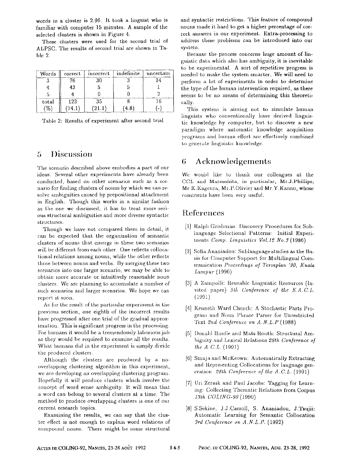words in a cluster is 2.96, It took a linguist who is familiar with computer 15 minutes. A sample of the selected clusters is shown in Figure 4.

These clusters were used for the second trial of ALPSC, The results of second trial are shown in Table 2.

| Words         |       | correct   incorrect      | indefinite | uncertain |
|---------------|-------|--------------------------|------------|-----------|
|               | 76    | 30                       |            |           |
|               | 43    |                          |            |           |
|               |       |                          |            |           |
| total         | 123   | 35                       |            |           |
| $\frac{9}{6}$ | 74.1' | $^{\prime}21.1^{\prime}$ | 4.8        |           |

Table 2: Results of experiment after second trial

## **5 Discussion**

The scenario described above embodies a part of our ideas. Several other experiments have already been conducted, based on other scenarios such as a scenario for finding clusters of nouns by which we can resolve ambiguities caused by prepositional attachment in English. Though this works in a similar fashion as the one we discussed, it has to treat more serious structural ambiguities and more diverse syntactic structures.

Though we have not compared them in detail, it can be expected that the organization of semantic clusters of nouns tbat emerge in these two scenarios will be different from each other. One reflects collocational relations among nouns, while the other reflects those between nouns and verbs. By merging these two scenarios into one larger scenario, we may be able to obtain more accurate or intuitively reasonable noun clusters. We are planning to accumulate a number of such scenarios and larger scenarios. We hope we can report it. soon.

As for the result of the particular experiment in the previous section, one eighth of the incorrect results have progressed after one trial of the gradual approximation. This is significant progress in the processing. For humans it would be a tremendously laborious job as they would be required to examine all the results. What humans did in the experiment is simply divide the produced clusters.

Although the clusters are produced by a nooverlapping clustering algorithm in this experiment, we are developing an overlapping clustering program. Hopefully it will produce clusters which involve the concept of word sense ambiguity. It will mean that a word can belong to several clusters at a time. The method to produce overlapping clusters is one of our current research topics.

Examining the results, we can say that the cluster effect is not enough to explain word relations of compound nouns. There might be some structural and syntactic restrictions. This feature of compound nouns made it hard to get a higher percentage of correct answers in our experiment. Extra-processing to address these problems can be introduced into our system.

Because the process concerns huge amount of linguistic data which also has ambiguity, it is inevitable to be experimental. A sort of repetitive progress is needed to make the system smarter. We will need to perform a lot of experiments in order to determine the type of the human intervention required, as there seems to be no means of determining this theoretically.

This system is aiming not to simulate human linguists who conventionally have derived linguistic knowledge by computer, but to discover a new paradigm where automatic knowledge acquisition prograrns and human effort are effectively combined to generate linguistic knowledge.

# 6 Acknowledgements

We would like to thank our colleagues at the CCL and Matsushita, in particular, Mr.J.Phillips, Mr.K.Kageura, Mr.P.Olivier and Mr.Y.Kanno, whose comments have been very useful.

## References

- [1] Ralph Grishman: Discovery Procedures for Sublanguage Selectional Patterns: Initial Experiments *Comp. Linguistics Vol. 12 No.3* (1986)
- [2] Sofia Ananiadou: Sublanguage studies as the Basis for Computer Support for Multilingual Communication Proceedings of Termplan '90, Kuala *Lumpur* (1990)
- [3] A Zampolli: Reusable Linguistic Resources (Invited paper) *5th Conference of the E.A.C.L.*  (199i)
- [4] Kenneth Ward Church: A Stochastic Parts Program and Noun Phrase Parser for Unrestricted Text 2nd Conference on A.N.L.P (1988)
- [5] Donald Hindle and Mats Rooth: Structural Ambiguity and Lexical Relations 29th Conference of *the A.C.L.* (1991)
- [6] Smaja and McKeown: Automatically Extracting and Representing Collocations for language generation. 28th Conference of the A.C.L. (1991)
- [7] Uri Zernik and Paul Jacobs: Tagging for Learning: Collecting Thematic Relations from Corpus *13th UOLING-90* (1990)
- [8] S.Sekine, J.J.Carroll, S. Ananiadou, J.Tsujii: Automatic Learning for Semantic Collocation *3rd Conference on A.N.L.P.* (1992)